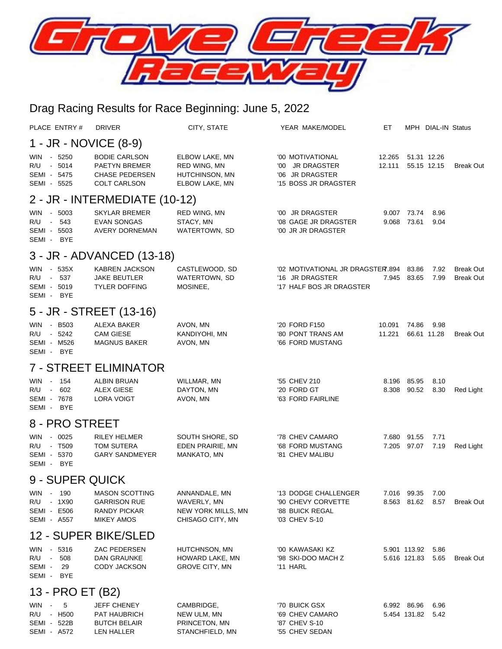

## Drag Racing Results for Race Beginning: June 5, 2022

| PLACE ENTRY#                                                                        | <b>DRIVER</b>                                                                         | CITY, STATE                                                            | YEAR MAKE/MODEL                                                                 | EТ               |                              | MPH DIAL-IN Status |                                      |  |  |  |  |  |
|-------------------------------------------------------------------------------------|---------------------------------------------------------------------------------------|------------------------------------------------------------------------|---------------------------------------------------------------------------------|------------------|------------------------------|--------------------|--------------------------------------|--|--|--|--|--|
| 1 - JR - NOVICE (8-9)                                                               |                                                                                       |                                                                        |                                                                                 |                  |                              |                    |                                      |  |  |  |  |  |
| - 5250<br><b>WIN</b><br>- 5014<br>R/U<br>SEMI - 5475<br>SEMI - 5525                 | <b>BODIE CARLSON</b><br>PAETYN BREMER<br><b>CHASE PEDERSEN</b><br><b>COLT CARLSON</b> | ELBOW LAKE, MN<br>RED WING, MN<br>HUTCHINSON, MN<br>ELBOW LAKE, MN     | '00 MOTIVATIONAL<br>'00 JR DRAGSTER<br>'06 JR DRAGSTER<br>'15 BOSS JR DRAGSTER  | 12.265<br>12.111 | 51.31 12.26<br>55.15 12.15   |                    | <b>Break Out</b>                     |  |  |  |  |  |
| 2 - JR - INTERMEDIATE (10-12)                                                       |                                                                                       |                                                                        |                                                                                 |                  |                              |                    |                                      |  |  |  |  |  |
| - 5003<br><b>WIN</b><br>- 543<br>R/U<br>SEMI - 5503<br>SEMI - BYE                   | SKYLAR BREMER<br><b>EVAN SONGAS</b><br><b>AVERY DORNEMAN</b>                          | RED WING, MN<br>STACY, MN<br>WATERTOWN, SD                             | '00 JR DRAGSTER<br>'08 GAGE JR DRAGSTER<br>'00 JR JR DRAGSTER                   | 9.007<br>9.068   | 73.74<br>73.61               | 8.96<br>9.04       |                                      |  |  |  |  |  |
| 3 - JR - ADVANCED (13-18)                                                           |                                                                                       |                                                                        |                                                                                 |                  |                              |                    |                                      |  |  |  |  |  |
| $-535X$<br><b>WIN</b><br>537<br>R/U<br>$\sim 10^{-11}$<br>SEMI - 5019<br>SEMI - BYE | <b>KABREN JACKSON</b><br>JAKE BEUTLER<br><b>TYLER DOFFING</b>                         | CASTLEWOOD, SD<br>WATERTOWN, SD<br>MOSINEE,                            | '02 MOTIVATIONAL JR DRAGSTER.894<br>'16 JR DRAGSTER<br>'17 HALF BOS JR DRAGSTER | 7.945            | 83.86<br>83.65               | 7.92<br>7.99       | <b>Break Out</b><br><b>Break Out</b> |  |  |  |  |  |
|                                                                                     | 5 - JR - STREET (13-16)                                                               |                                                                        |                                                                                 |                  |                              |                    |                                      |  |  |  |  |  |
| WIN - B503<br>R/U - 5242<br>SEMI - M526<br>SEMI - BYE                               | ALEXA BAKER<br><b>CAM GIESE</b><br><b>MAGNUS BAKER</b>                                | AVON, MN<br>KANDIYOHI, MN<br>AVON, MN                                  | '20 FORD F150<br>'80 PONT TRANS AM<br>'66 FORD MUSTANG                          | 10.091<br>11.221 | 74.86<br>66.61 11.28         | 9.98               | <b>Break Out</b>                     |  |  |  |  |  |
|                                                                                     | <b>7 - STREET ELIMINATOR</b>                                                          |                                                                        |                                                                                 |                  |                              |                    |                                      |  |  |  |  |  |
| 154<br><b>WIN</b><br>$\sim 10$<br>- 602<br>R/U<br>SEMI - 7678<br>SEMI - BYE         | <b>ALBIN BRUAN</b><br><b>ALEX GIESE</b><br><b>LORA VOIGT</b>                          | WILLMAR, MN<br>DAYTON, MN<br>AVON, MN                                  | '55 CHEV 210<br>'20 FORD GT<br>'63 FORD FAIRLINE                                | 8.196<br>8.308   | 85.95<br>90.52               | 8.10<br>8.30       | Red Light                            |  |  |  |  |  |
| 8 - PRO STREET                                                                      |                                                                                       |                                                                        |                                                                                 |                  |                              |                    |                                      |  |  |  |  |  |
| - 0025<br><b>WIN</b><br>- T509<br>R/U<br>SEMI - 5370<br>SEMI - BYE                  | <b>RILEY HELMER</b><br><b>TOM SUTERA</b><br><b>GARY SANDMEYER</b>                     | SOUTH SHORE, SD<br>EDEN PRAIRIE, MN<br>MANKATO, MN                     | '78 CHEV CAMARO<br>'68 FORD MUSTANG<br>'81 CHEV MALIBU                          | 7.680            | 91.55<br>7.205 97.07         | 7.71<br>7.19       | Red Light                            |  |  |  |  |  |
| 9 - SUPER QUICK                                                                     |                                                                                       |                                                                        |                                                                                 |                  |                              |                    |                                      |  |  |  |  |  |
| WIN - 190<br>R/U - 1X90<br>SEMI - E506<br>SEMI - A557                               | <b>MASON SCOTTING</b><br><b>GARRISON RUE</b><br>RANDY PICKAR<br><b>MIKEY AMOS</b>     | ANNANDALE, MN<br>WAVERLY, MN<br>NEW YORK MILLS, MN<br>CHISAGO CITY, MN | '13 DODGE CHALLENGER<br>'90 CHEVY CORVETTE<br>'88 BUICK REGAL<br>'03 CHEV S-10  |                  | 7.016 99.35<br>8.563 81.62   | 7.00<br>8.57       | <b>Break Out</b>                     |  |  |  |  |  |
| 12 - SUPER BIKE/SLED                                                                |                                                                                       |                                                                        |                                                                                 |                  |                              |                    |                                      |  |  |  |  |  |
| - 5316<br>WIN<br>R/U - 508<br>SEMI - 29<br>SEMI - BYE                               | ZAC PEDERSEN<br>DAN GRAUNKE<br>CODY JACKSON                                           | HUTCHNSON, MN<br>HOWARD LAKE, MN<br><b>GROVE CITY, MN</b>              | '00 KAWASAKI KZ<br>'98 SKI-DOO MACH Z<br>'11 HARL                               |                  | 5.901 113.92<br>5.616 121.83 | 5.86<br>5.65       | <b>Break Out</b>                     |  |  |  |  |  |
| 13 - PRO ET (B2)                                                                    |                                                                                       |                                                                        |                                                                                 |                  |                              |                    |                                      |  |  |  |  |  |
| - 5<br>WIN -<br>R/U - H500<br>SEMI - 522B<br>SEMI - A572                            | <b>JEFF CHENEY</b><br>PAT HAUBRICH<br><b>BUTCH BELAIR</b><br>LEN HALLER               | CAMBRIDGE,<br>NEW ULM, MN<br>PRINCETON, MN<br>STANCHFIELD, MN          | '70 BUICK GSX<br>'69 CHEV CAMARO<br>'87 CHEV S-10<br>'55 CHEV SEDAN             |                  | 6.992 86.96<br>5.454 131.82  | 6.96<br>5.42       |                                      |  |  |  |  |  |